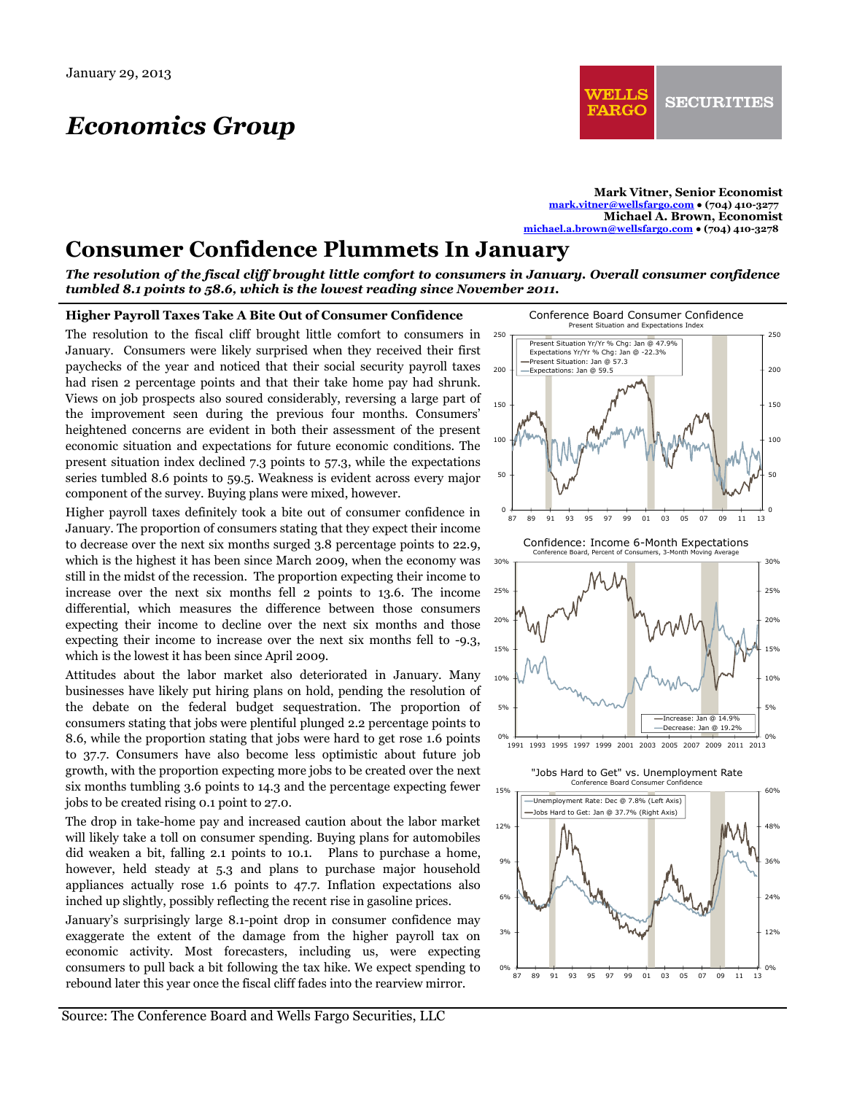# *Economics Group*

**Mark Vitner, Senior Economist mark.vitner@wellsfargo.com ● (704) 410-3277 Michael A. Brown, Economist michael.a.brown@wellsfargo.com ● (704) 410-3278** 

## **Consumer Confidence Plummets In January**

*The resolution of the fiscal cliff brought little comfort to consumers in January. Overall consumer confidence tumbled 8.1 points to 58.6, which is the lowest reading since November 2011.* 

#### **Higher Payroll Taxes Take A Bite Out of Consumer Confidence**

The resolution to the fiscal cliff brought little comfort to consumers in January. Consumers were likely surprised when they received their first paychecks of the year and noticed that their social security payroll taxes had risen 2 percentage points and that their take home pay had shrunk. Views on job prospects also soured considerably, reversing a large part of the improvement seen during the previous four months. Consumers' heightened concerns are evident in both their assessment of the present economic situation and expectations for future economic conditions. The present situation index declined 7.3 points to 57.3, while the expectations series tumbled 8.6 points to 59.5. Weakness is evident across every major component of the survey. Buying plans were mixed, however.

Higher payroll taxes definitely took a bite out of consumer confidence in January. The proportion of consumers stating that they expect their income to decrease over the next six months surged 3.8 percentage points to 22.9, which is the highest it has been since March 2009, when the economy was still in the midst of the recession. The proportion expecting their income to increase over the next six months fell 2 points to 13.6. The income differential, which measures the difference between those consumers expecting their income to decline over the next six months and those expecting their income to increase over the next six months fell to -9.3, which is the lowest it has been since April 2009.

Attitudes about the labor market also deteriorated in January. Many businesses have likely put hiring plans on hold, pending the resolution of the debate on the federal budget sequestration. The proportion of consumers stating that jobs were plentiful plunged 2.2 percentage points to 8.6, while the proportion stating that jobs were hard to get rose 1.6 points to 37.7. Consumers have also become less optimistic about future job growth, with the proportion expecting more jobs to be created over the next six months tumbling 3.6 points to 14.3 and the percentage expecting fewer jobs to be created rising 0.1 point to 27.0.

The drop in take-home pay and increased caution about the labor market will likely take a toll on consumer spending. Buying plans for automobiles did weaken a bit, falling 2.1 points to 10.1. Plans to purchase a home, however, held steady at 5.3 and plans to purchase major household appliances actually rose 1.6 points to 47.7. Inflation expectations also inched up slightly, possibly reflecting the recent rise in gasoline prices.

January's surprisingly large 8.1-point drop in consumer confidence may exaggerate the extent of the damage from the higher payroll tax on economic activity. Most forecasters, including us, were expecting consumers to pull back a bit following the tax hike. We expect spending to rebound later this year once the fiscal cliff fades into the rearview mirror.



87 89 91 93 95 97 99 01 03 05 07 09 11 13

0%

0%

Source: The Conference Board and Wells Fargo Securities, LLC